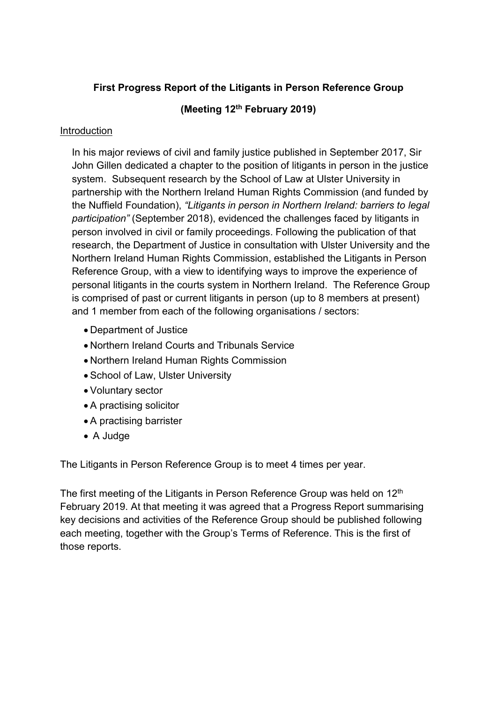# First Progress Report of the Litigants in Person Reference Group

# (Meeting 12<sup>th</sup> February 2019)

# Introduction

In his major reviews of civil and family justice published in September 2017, Sir John Gillen dedicated a chapter to the position of litigants in person in the justice system. Subsequent research by the School of Law at Ulster University in partnership with the Northern Ireland Human Rights Commission (and funded by the Nuffield Foundation), "Litigants in person in Northern Ireland: barriers to legal participation" (September 2018), evidenced the challenges faced by litigants in person involved in civil or family proceedings. Following the publication of that research, the Department of Justice in consultation with Ulster University and the Northern Ireland Human Rights Commission, established the Litigants in Person Reference Group, with a view to identifying ways to improve the experience of personal litigants in the courts system in Northern Ireland. The Reference Group is comprised of past or current litigants in person (up to 8 members at present) and 1 member from each of the following organisations / sectors:

- Department of Justice
- Northern Ireland Courts and Tribunals Service
- Northern Ireland Human Rights Commission
- School of Law, Ulster University
- Voluntary sector
- A practising solicitor
- A practising barrister
- A Judge

The Litigants in Person Reference Group is to meet 4 times per year.

The first meeting of the Litigants in Person Reference Group was held on 12<sup>th</sup> February 2019. At that meeting it was agreed that a Progress Report summarising key decisions and activities of the Reference Group should be published following each meeting, together with the Group's Terms of Reference. This is the first of those reports.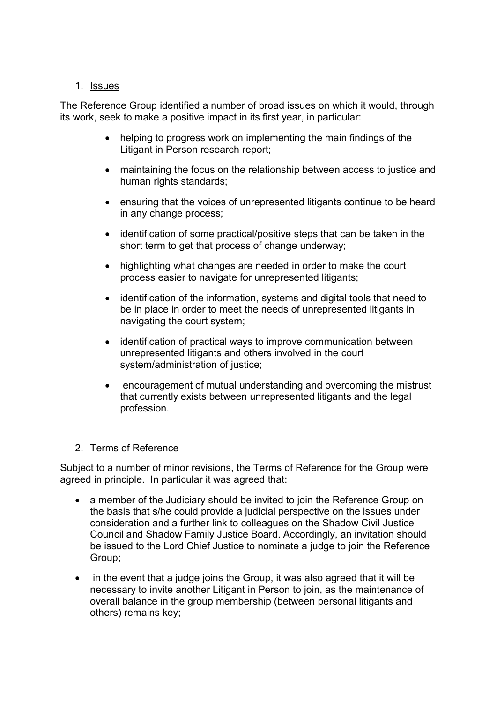# 1. Issues

The Reference Group identified a number of broad issues on which it would, through its work, seek to make a positive impact in its first year, in particular:

- helping to progress work on implementing the main findings of the Litigant in Person research report;
- maintaining the focus on the relationship between access to justice and human rights standards:
- ensuring that the voices of unrepresented litigants continue to be heard in any change process;
- identification of some practical/positive steps that can be taken in the short term to get that process of change underway;
- highlighting what changes are needed in order to make the court process easier to navigate for unrepresented litigants;
- identification of the information, systems and digital tools that need to be in place in order to meet the needs of unrepresented litigants in navigating the court system;
- identification of practical ways to improve communication between unrepresented litigants and others involved in the court system/administration of justice;
- encouragement of mutual understanding and overcoming the mistrust that currently exists between unrepresented litigants and the legal profession.

# 2. Terms of Reference

Subject to a number of minor revisions, the Terms of Reference for the Group were agreed in principle. In particular it was agreed that:

- a member of the Judiciary should be invited to join the Reference Group on the basis that s/he could provide a judicial perspective on the issues under consideration and a further link to colleagues on the Shadow Civil Justice Council and Shadow Family Justice Board. Accordingly, an invitation should be issued to the Lord Chief Justice to nominate a judge to join the Reference Group;
- in the event that a judge joins the Group, it was also agreed that it will be necessary to invite another Litigant in Person to join, as the maintenance of overall balance in the group membership (between personal litigants and others) remains key;